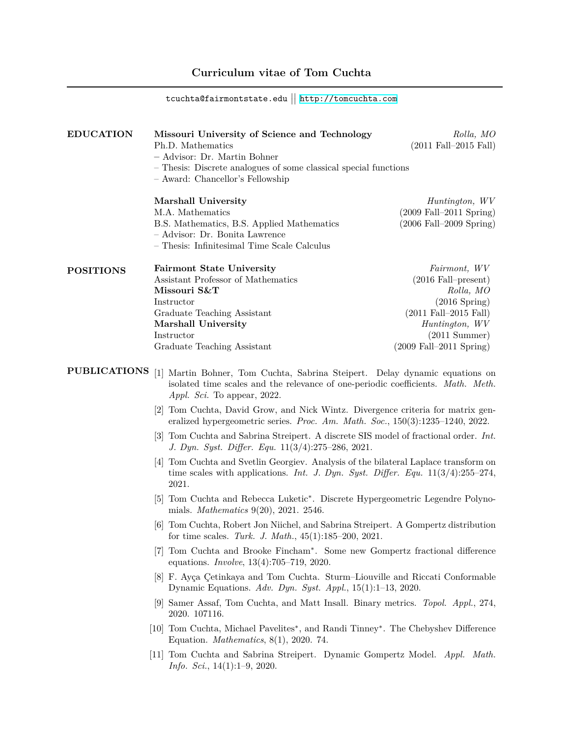# **Curriculum vitae of Tom Cuchta**

 $\texttt{tcuchta}$ @fairmontstate.edu  $\mathop{||}$  <http://tomcuchta.com>

| <b>EDUCATION</b>    | Missouri University of Science and Technology                                                                                                                                                  | Rolla, MO                                   |
|---------------------|------------------------------------------------------------------------------------------------------------------------------------------------------------------------------------------------|---------------------------------------------|
|                     | Ph.D. Mathematics                                                                                                                                                                              | $(2011 \text{ Fall} - 2015 \text{ Fall})$   |
|                     | - Advisor: Dr. Martin Bohner                                                                                                                                                                   |                                             |
|                     | - Thesis: Discrete analogues of some classical special functions                                                                                                                               |                                             |
|                     | - Award: Chancellor's Fellowship                                                                                                                                                               |                                             |
|                     | Marshall University                                                                                                                                                                            | Huntington, WV                              |
|                     | M.A. Mathematics                                                                                                                                                                               | $(2009 \text{ Fall}-2011 \text{ Spring})$   |
|                     | B.S. Mathematics, B.S. Applied Mathematics                                                                                                                                                     | $(2006 \text{ Fall} - 2009 \text{Spring})$  |
|                     | - Advisor: Dr. Bonita Lawrence                                                                                                                                                                 |                                             |
|                     | - Thesis: Infinitesimal Time Scale Calculus                                                                                                                                                    |                                             |
| <b>POSITIONS</b>    | <b>Fairmont State University</b>                                                                                                                                                               | Fairmont, WV                                |
|                     | Assistant Professor of Mathematics                                                                                                                                                             | $(2016 \text{ Fall-present})$               |
|                     | Missouri S&T                                                                                                                                                                                   | Rolla, MO                                   |
|                     | Instructor                                                                                                                                                                                     | $(2016$ Spring)                             |
|                     | Graduate Teaching Assistant                                                                                                                                                                    | $(2011 \text{ Fall} - 2015 \text{ Fall})$   |
|                     | Marshall University                                                                                                                                                                            | Huntington, WV                              |
|                     | Instructor                                                                                                                                                                                     | $(2011 \text{ Summer})$                     |
|                     | Graduate Teaching Assistant                                                                                                                                                                    | $(2009 \text{ Fall} - 2011 \text{ Spring})$ |
| <b>PUBLICATIONS</b> | [1] Martin Bohner, Tom Cuchta, Sabrina Steipert. Delay dynamic equations on<br>isolated time scales and the relevance of one-periodic coefficients. Math. Meth.<br>Appl. Sci. To appear, 2022. |                                             |
|                     | [2] Tom Cuchta, David Grow, and Nick Wintz. Divergence criteria for matrix gen-<br>eralized hypergeometric series. Proc. Am. Math. Soc., $150(3):1235-1240$ , $2022$ .                         |                                             |
|                     | [3] Tom Cuchta and Sabrina Streipert. A discrete SIS model of fractional order. <i>Int.</i><br>J. Dyn. Syst. Differ. Equ. 11(3/4):275-286, 2021.                                               |                                             |
|                     | [4] Tom Cuchta and Svetlin Georgiev. Analysis of the bilateral Laplace transform on<br>time scales with applications. Int. J. Dyn. Syst. Differ. Equ. $11(3/4):255-274$ ,<br>2021.             |                                             |
|                     | [5] Tom Cuchta and Rebecca Luketic <sup>*</sup> . Discrete Hypergeometric Legendre Polyno-<br>mials. <i>Mathematics</i> 9(20), 2021. 2546.                                                     |                                             |
|                     | [6] Tom Cuchta, Robert Jon Niichel, and Sabrina Streipert. A Gompertz distribution<br>for time scales. Turk. J. Math., $45(1):185-200$ , $2021$ .                                              |                                             |
|                     | Tom Cuchta and Brooke Fincham*. Some new Gompertz fractional difference<br>l'(†<br>equations. <i>Involve</i> , $13(4):705-719$ , $2020$ .                                                      |                                             |
|                     | [8] F. Ayça Çetinkaya and Tom Cuchta. Sturm-Liouville and Riccati Conformable<br>Dynamic Equations. Adv. Dyn. Syst. Appl., $15(1):1-13$ , 2020.                                                |                                             |
|                     | [9] Samer Assaf, Tom Cuchta, and Matt Insall. Binary metrics. Topol. Appl., 274,<br>2020. 107116.                                                                                              |                                             |
|                     | [10] Tom Cuchta, Michael Pavelites*, and Randi Tinney*. The Chebyshev Difference<br>Equation. <i>Mathematics</i> , $8(1)$ , 2020. 74.                                                          |                                             |
|                     | [11] Tom Cuchta and Sabrina Streipert. Dynamic Gompertz Model. Appl. Math.<br><i>Info. Sci.</i> , $14(1):1-9$ , 2020.                                                                          |                                             |
|                     |                                                                                                                                                                                                |                                             |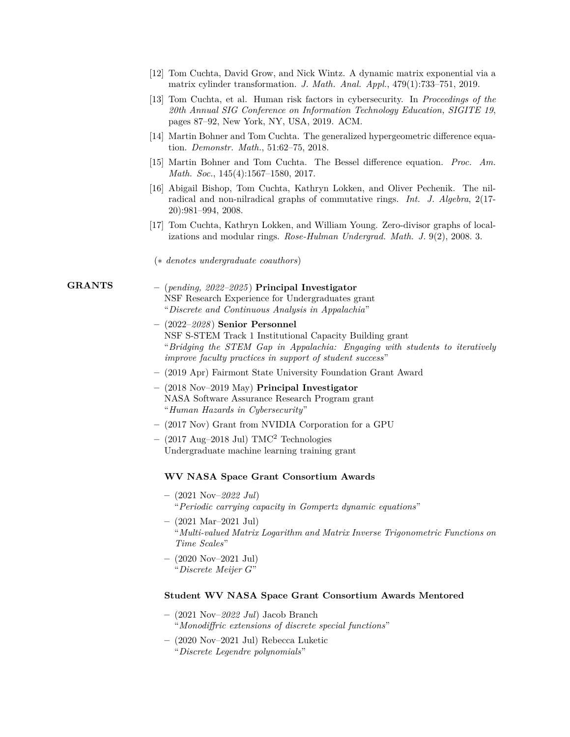- [12] Tom Cuchta, David Grow, and Nick Wintz. A dynamic matrix exponential via a matrix cylinder transformation. *J. Math. Anal. Appl.*, 479(1):733–751, 2019.
- [13] Tom Cuchta, et al. Human risk factors in cybersecurity. In *Proceedings of the 20th Annual SIG Conference on Information Technology Education, SIGITE 19*, pages 87–92, New York, NY, USA, 2019. ACM.
- [14] Martin Bohner and Tom Cuchta. The generalized hypergeometric difference equation. *Demonstr. Math.*, 51:62–75, 2018.
- [15] Martin Bohner and Tom Cuchta. The Bessel difference equation. *Proc. Am. Math. Soc.*, 145(4):1567–1580, 2017.
- [16] Abigail Bishop, Tom Cuchta, Kathryn Lokken, and Oliver Pechenik. The nilradical and non-nilradical graphs of commutative rings. *Int. J. Algebra*, 2(17- 20):981–994, 2008.
- [17] Tom Cuchta, Kathryn Lokken, and William Young. Zero-divisor graphs of localizations and modular rings. *Rose-Hulman Undergrad. Math. J.* 9(2), 2008. 3.
- (*∗ denotes undergraduate coauthors*)

- **GRANTS –** (*pending, 2022–2025* ) **Principal Investigator** NSF Research Experience for Undergraduates grant "*Discrete and Continuous Analysis in Appalachia*"
	- **–** (2022–*2028* ) **Senior Personnel** NSF S-STEM Track 1 Institutional Capacity Building grant "*Bridging the STEM Gap in Appalachia: Engaging with students to iteratively improve faculty practices in support of student success*"
	- **–** (2019 Apr) Fairmont State University Foundation Grant Award
	- **–** (2018 Nov–2019 May) **Principal Investigator** NASA Software Assurance Research Program grant "*Human Hazards in Cybersecurity*"
	- **–** (2017 Nov) Grant from NVIDIA Corporation for a GPU
	- **–** (2017 Aug–2018 Jul) TMC<sup>2</sup> Technologies Undergraduate machine learning training grant

#### **WV NASA Space Grant Consortium Awards**

- **–** (2021 Nov–*2022 Jul*) "*Periodic carrying capacity in Gompertz dynamic equations*"
- **–** (2021 Mar–2021 Jul) "*Multi-valued Matrix Logarithm and Matrix Inverse Trigonometric Functions on Time Scales*"
- **–** (2020 Nov–2021 Jul) "*Discrete Meijer G*"

#### **Student WV NASA Space Grant Consortium Awards Mentored**

- **–** (2021 Nov–*2022 Jul*) Jacob Branch "*Monodiffric extensions of discrete special functions*"
- **–** (2020 Nov–2021 Jul) Rebecca Luketic "*Discrete Legendre polynomials*"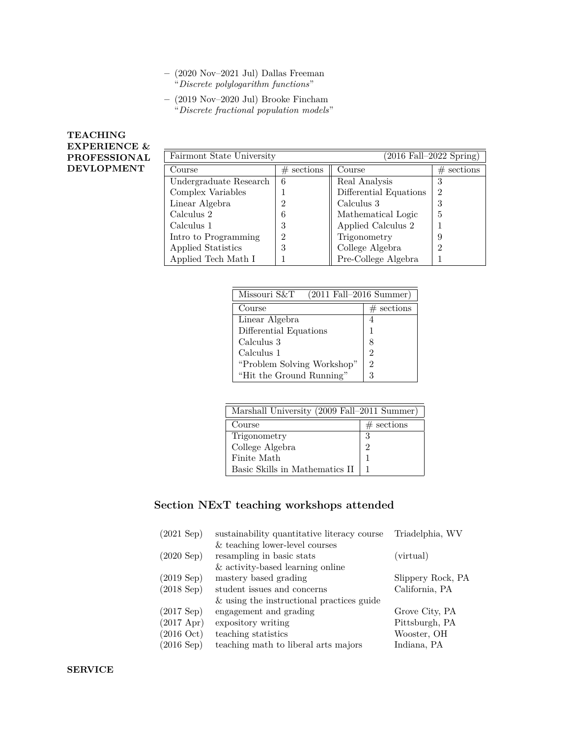- **–** (2020 Nov–2021 Jul) Dallas Freeman "*Discrete polylogarithm functions*"
- **–** (2019 Nov–2020 Jul) Brooke Fincham "*Discrete fractional population models*"

# **TEACHING EXPERIENCE & PROFESSIONAL DEVLOPMENT**

| $(2016 \text{ Fall}-2022 \text{ Spring})$<br>Fairmont State University |              |                        |                |
|------------------------------------------------------------------------|--------------|------------------------|----------------|
| Course                                                                 | $#$ sections | Course                 | $#$ sections   |
| Undergraduate Research                                                 | 6            | Real Analysis          | 3              |
| Complex Variables                                                      |              | Differential Equations | $\mathfrak{D}$ |
| Linear Algebra                                                         | 2            | Calculus 3             | 3              |
| Calculus 2                                                             | 6            | Mathematical Logic     | 5              |
| Calculus 1                                                             | 3            | Applied Calculus 2     |                |
| Intro to Programming                                                   | റ            | Trigonometry           | 9              |
| Applied Statistics                                                     | 3            | College Algebra        | $\overline{2}$ |
| Applied Tech Math I                                                    |              | Pre-College Algebra    |                |

| Missouri S&T<br>$(2011$ Fall-2016 Summer) |                |  |
|-------------------------------------------|----------------|--|
| Course                                    | $#$ sections   |  |
| Linear Algebra                            | 4              |  |
| Differential Equations                    | 1              |  |
| Calculus 3                                | 8              |  |
| Calculus 1                                | $\mathfrak{D}$ |  |
| "Problem Solving Workshop"                | $\overline{2}$ |  |
| "Hit the Ground Running"                  | 3              |  |

| Marshall University (2009 Fall-2011 Summer) |              |  |
|---------------------------------------------|--------------|--|
| Course                                      | $#$ sections |  |
| Trigonometry                                | 3            |  |
| College Algebra                             | 2            |  |
| Finite Math                                 |              |  |
| Basic Skills in Mathematics II              |              |  |

# **Section NExT teaching workshops attended**

| (2021 Sep)           | sustainability quantitative literacy course | Triadelphia, WV   |
|----------------------|---------------------------------------------|-------------------|
|                      | & teaching lower-level courses              |                   |
| $(2020 \text{ Sep})$ | resampling in basic stats                   | (virtual)         |
|                      | $&$ activity-based learning online          |                   |
| (2019 Sep)           | mastery based grading                       | Slippery Rock, PA |
| (2018 Sep)           | student issues and concerns                 | California, PA    |
|                      | & using the instructional practices guide   |                   |
| (2017 Sep)           | engagement and grading                      | Grove City, PA    |
| $(2017 \text{ Apr})$ | expository writing                          | Pittsburgh, PA    |
| $(2016 \text{ Oct})$ | teaching statistics                         | Wooster, OH       |
| $(2016 \text{ Sep})$ | teaching math to liberal arts majors        | Indiana, PA       |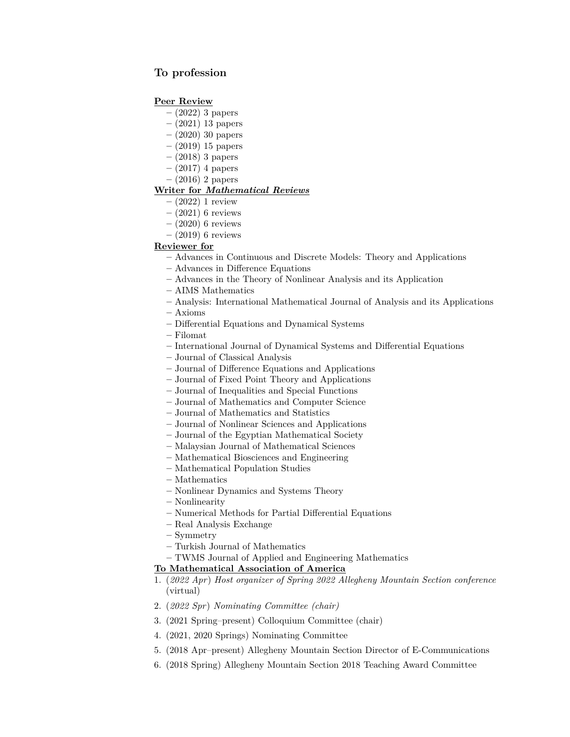# **To profession**

## **Peer Review**

- **–** (2022) 3 papers
- **–** (2021) 13 papers
- **–** (2020) 30 papers
- **–** (2019) 15 papers
- **–** (2018) 3 papers
- **–** (2017) 4 papers
- **–** (2016) 2 papers

# **Writer for** *Mathematical Reviews*

- **–** (2022) 1 review
- **–** (2021) 6 reviews
- **–** (2020) 6 reviews
- **–** (2019) 6 reviews

# **Reviewer for**

- **–** Advances in Continuous and Discrete Models: Theory and Applications
- **–** Advances in Difference Equations
- **–** Advances in the Theory of Nonlinear Analysis and its Application
- **–** AIMS Mathematics
- **–** Analysis: International Mathematical Journal of Analysis and its Applications
- **–** Axioms
- **–** Differential Equations and Dynamical Systems
- **–** Filomat
- **–** International Journal of Dynamical Systems and Differential Equations
- **–** Journal of Classical Analysis
- **–** Journal of Difference Equations and Applications
- **–** Journal of Fixed Point Theory and Applications
- **–** Journal of Inequalities and Special Functions
- **–** Journal of Mathematics and Computer Science
- **–** Journal of Mathematics and Statistics
- **–** Journal of Nonlinear Sciences and Applications
- **–** Journal of the Egyptian Mathematical Society
- **–** Malaysian Journal of Mathematical Sciences
- **–** Mathematical Biosciences and Engineering
- **–** Mathematical Population Studies
- **–** Mathematics
- **–** Nonlinear Dynamics and Systems Theory
- **–** Nonlinearity
- **–** Numerical Methods for Partial Differential Equations
- **–** Real Analysis Exchange
- **–** Symmetry
- **–** Turkish Journal of Mathematics
- **–** TWMS Journal of Applied and Engineering Mathematics

#### **To Mathematical Association of America**

- 1. (*2022 Apr*) *Host organizer of Spring 2022 Allegheny Mountain Section conference* (virtual)
- 2. (*2022 Spr*) *Nominating Committee (chair)*
- 3. (2021 Spring–present) Colloquium Committee (chair)
- 4. (2021, 2020 Springs) Nominating Committee
- 5. (2018 Apr–present) Allegheny Mountain Section Director of E-Communications
- 6. (2018 Spring) Allegheny Mountain Section 2018 Teaching Award Committee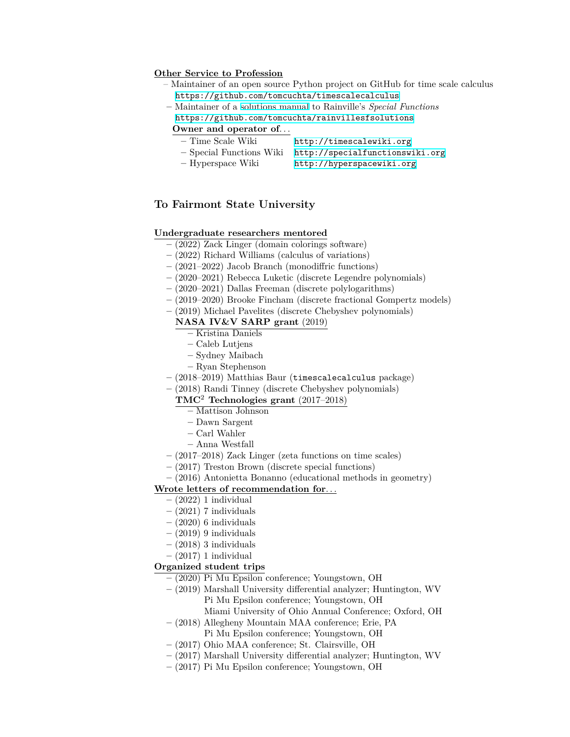#### **Other Service to Profession**

- Maintainer of an open source Python project on GitHub for time scale calculus <https://github.com/tomcuchta/timescalecalculus>
- **–** Maintainer of a [solutions manual](https://github.com/tomcuchta/rainvillesfsolutions) to Rainville's *Special Functions* <https://github.com/tomcuchta/rainvillesfsolutions>

#### **Owner and operator of***. . .*

- **–** Time Scale Wiki <http://timescalewiki.org>
- **–** Special Functions Wiki <http://specialfunctionswiki.org>
- **–** Hyperspace Wiki <http://hyperspacewiki.org>

# **To Fairmont State University**

#### **Undergraduate researchers mentored**

- **–** (2022) Zack Linger (domain colorings software)
- **–** (2022) Richard Williams (calculus of variations)
- **–** (2021–2022) Jacob Branch (monodiffric functions)
- **–** (2020–2021) Rebecca Luketic (discrete Legendre polynomials)
- **–** (2020–2021) Dallas Freeman (discrete polylogarithms)
- **–** (2019–2020) Brooke Fincham (discrete fractional Gompertz models)
- **–** (2019) Michael Pavelites (discrete Chebyshev polynomials)

# **NASA IV&V SARP grant** (2019)

**–** Kristina Daniels

- **–** Caleb Lutjens
- **–** Sydney Maibach
- **–** Ryan Stephenson
- **–** (2018–2019) Matthias Baur (timescalecalculus package)
- **–** (2018) Randi Tinney (discrete Chebyshev polynomials)

## **TMC**<sup>2</sup> **Technologies grant** (2017–2018)

- **–** Mattison Johnson
- **–** Dawn Sargent
- **–** Carl Wahler
- **–** Anna Westfall
- **–** (2017–2018) Zack Linger (zeta functions on time scales)
- **–** (2017) Treston Brown (discrete special functions)
- **–** (2016) Antonietta Bonanno (educational methods in geometry)

### **Wrote letters of recommendation for***. . .*

- **–** (2022) 1 individual
- **–** (2021) 7 individuals
- **–** (2020) 6 individuals
- **–** (2019) 9 individuals
- **–** (2018) 3 individuals
- **–** (2017) 1 individual

#### **Organized student trips**

- **–** (2020) Pi Mu Epsilon conference; Youngstown, OH
- **–** (2019) Marshall University differential analyzer; Huntington, WV Pi Mu Epsilon conference; Youngstown, OH
	- Miami University of Ohio Annual Conference; Oxford, OH
- **–** (2018) Allegheny Mountain MAA conference; Erie, PA Pi Mu Epsilon conference; Youngstown, OH
- **–** (2017) Ohio MAA conference; St. Clairsville, OH
- **–** (2017) Marshall University differential analyzer; Huntington, WV
- **–** (2017) Pi Mu Epsilon conference; Youngstown, OH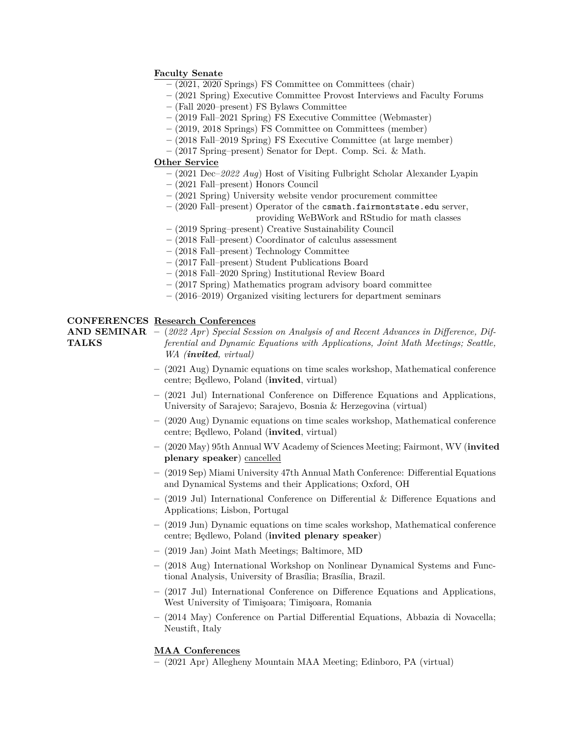# **Faculty Senate**

- **–** (2021, 2020 Springs) FS Committee on Committees (chair)
- **–** (2021 Spring) Executive Committee Provost Interviews and Faculty Forums
- **–** (Fall 2020–present) FS Bylaws Committee
- **–** (2019 Fall–2021 Spring) FS Executive Committee (Webmaster)
- **–** (2019, 2018 Springs) FS Committee on Committees (member)
- **–** (2018 Fall–2019 Spring) FS Executive Committee (at large member)
- **–** (2017 Spring–present) Senator for Dept. Comp. Sci. & Math.

# **Other Service**

- **–** (2021 Dec–*2022 Aug*) Host of Visiting Fulbright Scholar Alexander Lyapin
- **–** (2021 Fall–present) Honors Council
- **–** (2021 Spring) University website vendor procurement committee
- **–** (2020 Fall–present) Operator of the csmath.fairmontstate.edu server, providing WeBWork and RStudio for math classes
- **–** (2019 Spring–present) Creative Sustainability Council
- **–** (2018 Fall–present) Coordinator of calculus assessment
- **–** (2018 Fall–present) Technology Committee
- **–** (2017 Fall–present) Student Publications Board
- **–** (2018 Fall–2020 Spring) Institutional Review Board
- **–** (2017 Spring) Mathematics program advisory board committee
- **–** (2016–2019) Organized visiting lecturers for department seminars

# **CONFERENCES Research Conferences**

**TALKS**

**AND SEMINAR –** (*2022 Apr*) *Special Session on Analysis of and Recent Advances in Difference, Differential and Dynamic Equations with Applications, Joint Math Meetings; Seattle, WA (invited, virtual)*

- **–** (2021 Aug) Dynamic equations on time scales workshop, Mathematical conference centre; Bedlewo, Poland (**invited**, virtual)
- **–** (2021 Jul) International Conference on Difference Equations and Applications, University of Sarajevo; Sarajevo, Bosnia & Herzegovina (virtual)
- **–** (2020 Aug) Dynamic equations on time scales workshop, Mathematical conference centre; Bedlewo, Poland (**invited**, virtual)
- **–** (2020 May) 95th Annual WV Academy of Sciences Meeting; Fairmont, WV (**invited plenary speaker**) cancelled
- **–** (2019 Sep) Miami University 47th Annual Math Conference: Differential Equations and Dynamical Systems and their Applications; Oxford, OH
- **–** (2019 Jul) International Conference on Differential & Difference Equations and Applications; Lisbon, Portugal
- **–** (2019 Jun) Dynamic equations on time scales workshop, Mathematical conference centre; B¸edlewo, Poland (**invited plenary speaker**)
- **–** (2019 Jan) Joint Math Meetings; Baltimore, MD
- **–** (2018 Aug) International Workshop on Nonlinear Dynamical Systems and Functional Analysis, University of Brasília; Brasília, Brazil.
- **–** (2017 Jul) International Conference on Difference Equations and Applications, West University of Timişoara; Timişoara, Romania
- **–** (2014 May) Conference on Partial Differential Equations, Abbazia di Novacella; Neustift, Italy

# **MAA Conferences**

**–** (2021 Apr) Allegheny Mountain MAA Meeting; Edinboro, PA (virtual)